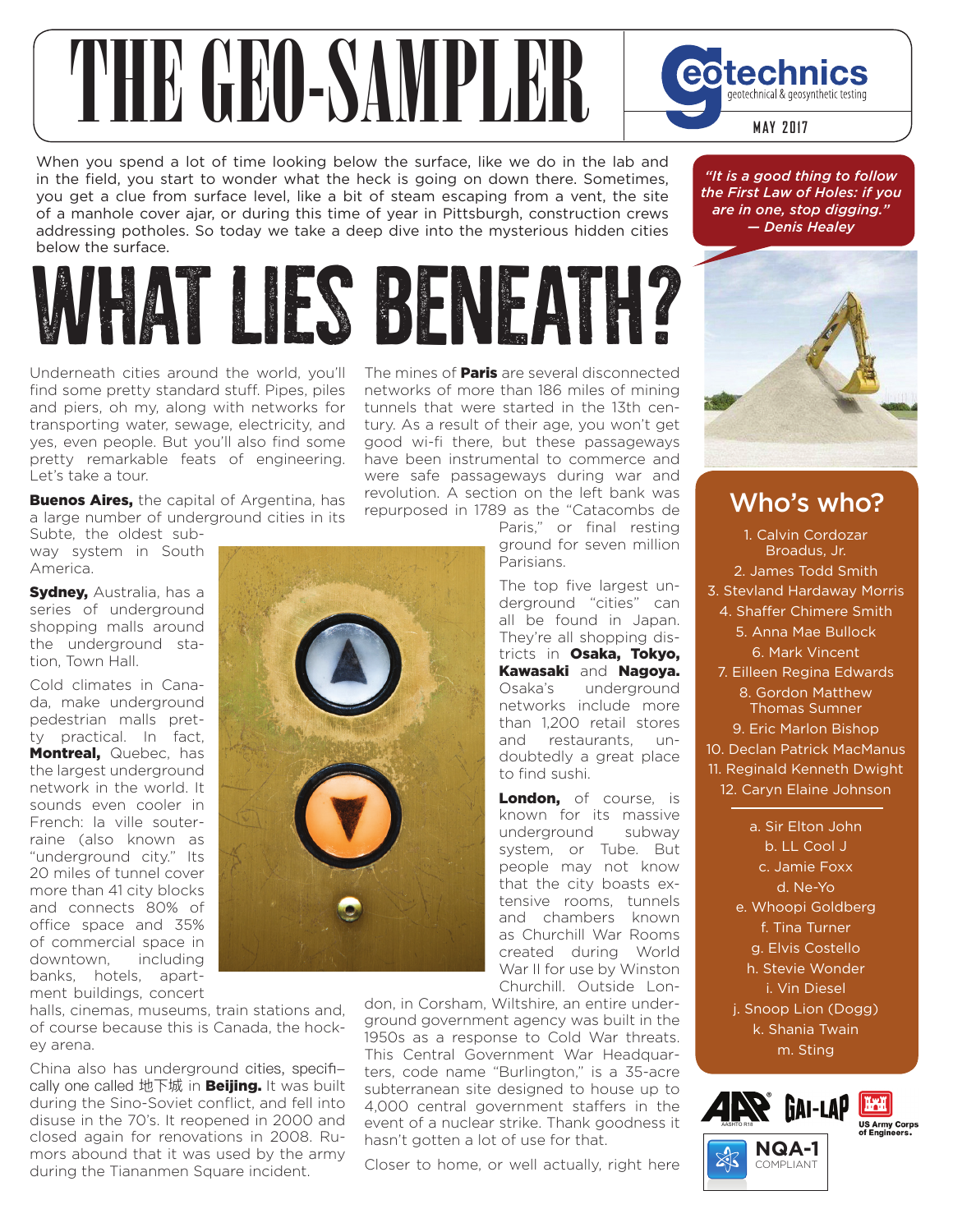## THE GEORGIAN PLEE COLORES

When you spend a lot of time looking below the surface, like we do in the lab and in the field, you start to wonder what the heck is going on down there. Sometimes, you get a clue from surface level, like a bit of steam escaping from a vent, the site of a manhole cover ajar, or during this time of year in Pittsburgh, construction crews addressing potholes. So today we take a deep dive into the mysterious hidden cities below the surface.

## WHAT LIES BENEATH?

Underneath cities around the world, you'll find some pretty standard stuff. Pipes, piles and piers, oh my, along with networks for transporting water, sewage, electricity, and yes, even people. But you'll also find some pretty remarkable feats of engineering. Let's take a tour.

**Buenos Aires, the capital of Argentina, has** a large number of underground cities in its

Subte, the oldest subway system in South America.

**Sydney, Australia, has a** series of underground shopping malls around the underground station, Town Hall.

Cold climates in Canada, make underground pedestrian malls pretty practical. In fact, Montreal, Quebec, has the largest underground network in the world. It sounds even cooler in French: la ville souterraine (also known as "underground city." Its 20 miles of tunnel cover more than 41 city blocks and connects 80% of office space and 35% of commercial space in downtown, including banks, hotels, apartment buildings, concert

halls, cinemas, museums, train stations and, of course because this is Canada, the hockey arena.

China also has underground cities, specifically one called 地下城 in **Beijing.** It was built during the Sino-Soviet conflict, and fell into disuse in the 70's. It reopened in 2000 and closed again for renovations in 2008. Rumors abound that it was used by the army during the Tiananmen Square incident.

The mines of **Paris** are several disconnected networks of more than 186 miles of mining tunnels that were started in the 13th century. As a result of their age, you won't get good wi-fi there, but these passageways have been instrumental to commerce and were safe passageways during war and revolution. A section on the left bank was repurposed in 1789 as the "Catacombs de

Paris," or final resting ground for seven million Parisians.

The top five largest underground "cities" can all be found in Japan. They're all shopping districts in Osaka, Tokyo, Kawasaki and Nagoya. Osaka's underground networks include more than 1,200 retail stores and restaurants, undoubtedly a great place to find sushi.

London, of course, is known for its massive underground subway system, or Tube. But people may not know that the city boasts extensive rooms, tunnels and chambers known as Churchill War Rooms created during World War II for use by Winston Churchill. Outside Lon-

don, in Corsham, Wiltshire, an entire underground government agency was built in the 1950s as a response to Cold War threats. This Central Government War Headquarters, code name "Burlington," is a 35-acre subterranean site designed to house up to 4,000 central government staffers in the event of a nuclear strike. Thank goodness it hasn't gotten a lot of use for that.

Closer to home, or well actually, right here

*"It is a good thing to follow the First Law of Holes: if you are in one, stop digging." — Denis Healey*



## Who's who?

1. Calvin Cordozar Broadus, Jr. 2. James Todd Smith 3. Stevland Hardaway Morris 4. Shaffer Chimere Smith 5. Anna Mae Bullock 6. Mark Vincent 7. Eilleen Regina Edwards 8. Gordon Matthew Thomas Sumner 9. Eric Marlon Bishop 10. Declan Patrick MacManus 11. Reginald Kenneth Dwight 12. Caryn Elaine Johnson a. Sir Elton John b. LL Cool J c. Jamie Foxx

d. Ne-Yo e. Whoopi Goldberg f. Tina Turner g. Elvis Costello h. Stevie Wonder i. Vin Diesel j. Snoop Lion (Dogg) k. Shania Twain m. Sting



COMPLIANT